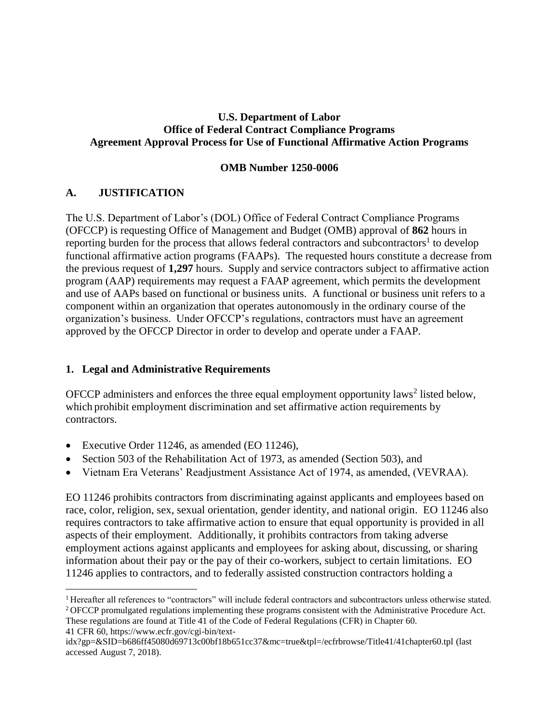## **U.S. Department of Labor Office of Federal Contract Compliance Programs Agreement Approval Process for Use of Functional Affirmative Action Programs**

### **OMB Number 1250-0006**

## **A. JUSTIFICATION**

 $\overline{a}$ 

The U.S. Department of Labor's (DOL) Office of Federal Contract Compliance Programs (OFCCP) is requesting Office of Management and Budget (OMB) approval of **862** hours in reporting burden for the process that allows federal contractors and subcontractors<sup>1</sup> to develop functional affirmative action programs (FAAPs). The requested hours constitute a decrease from the previous request of **1,297** hours. Supply and service contractors subject to affirmative action program (AAP) requirements may request a FAAP agreement, which permits the development and use of AAPs based on functional or business units. A functional or business unit refers to a component within an organization that operates autonomously in the ordinary course of the organization's business. Under OFCCP's regulations, contractors must have an agreement approved by the OFCCP Director in order to develop and operate under a FAAP.

## **1. Legal and Administrative Requirements**

OFCCP administers and enforces the three equal employment opportunity laws<sup>2</sup> listed below, which prohibit employment discrimination and set affirmative action requirements by contractors.

- Executive Order 11246, as amended (EO 11246),
- Section 503 of the Rehabilitation Act of 1973, as amended (Section 503), and
- Vietnam Era Veterans' Readjustment Assistance Act of 1974, as amended, (VEVRAA).

EO 11246 prohibits contractors from discriminating against applicants and employees based on race, color, religion, sex, sexual orientation, gender identity, and national origin. EO 11246 also requires contractors to take affirmative action to ensure that equal opportunity is provided in all aspects of their employment. Additionally, it prohibits contractors from taking adverse employment actions against applicants and employees for asking about, discussing, or sharing information about their pay or the pay of their co-workers, subject to certain limitations. EO 11246 applies to contractors, and to federally assisted construction contractors holding a

These regulations are found at Title 41 of the Code of Federal Regulations (CFR) in Chapter 60. 41 CFR 60, [https://www.ecfr.gov/cgi-bin/text-](https://www.ecfr.gov/cgi-bin/text-idx?gp=&SID=b686ff45080d69713c00bf18b651cc37&mc=true&tpl=/ecfrbrowse/Title41/41chapter60.tpl)

<sup>&</sup>lt;sup>1</sup> Hereafter all references to "contractors" will include federal contractors and subcontractors unless otherwise stated. <sup>2</sup> OFCCP promulgated regulations implementing these programs consistent with the Administrative Procedure Act.

[idx?gp=&SID=b686ff45080d69713c00bf18b651cc37&mc=true&tpl=/ecfrbrowse/Title41/41chapter60.tpl](https://www.ecfr.gov/cgi-bin/text-idx?gp=&SID=b686ff45080d69713c00bf18b651cc37&mc=true&tpl=/ecfrbrowse/Title41/41chapter60.tpl) (last accessed August 7, 2018).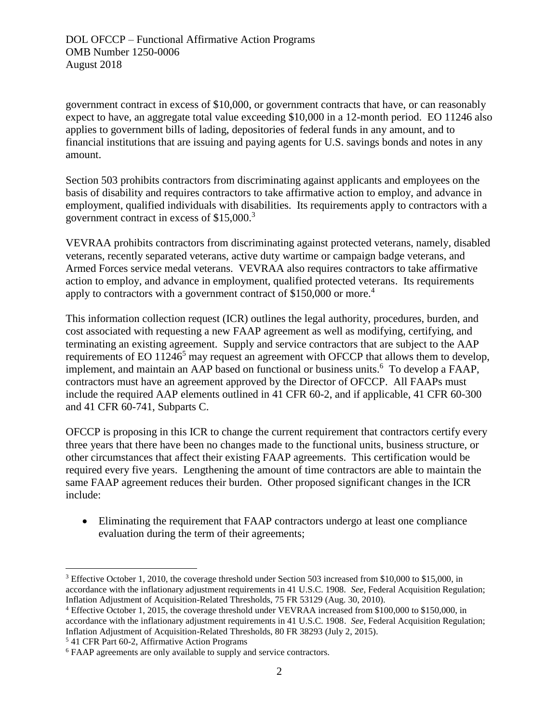government contract in excess of \$10,000, or government contracts that have, or can reasonably expect to have, an aggregate total value exceeding \$10,000 in a 12-month period. EO 11246 also applies to government bills of lading, depositories of federal funds in any amount, and to financial institutions that are issuing and paying agents for U.S. savings bonds and notes in any amount.

Section 503 prohibits contractors from discriminating against applicants and employees on the basis of disability and requires contractors to take affirmative action to employ, and advance in employment, qualified individuals with disabilities. Its requirements apply to contractors with a government contract in excess of \$15,000.<sup>3</sup>

VEVRAA prohibits contractors from discriminating against protected veterans, namely, disabled veterans, recently separated veterans, active duty wartime or campaign badge veterans, and Armed Forces service medal veterans. VEVRAA also requires contractors to take affirmative action to employ, and advance in employment, qualified protected veterans. Its requirements apply to contractors with a government contract of \$150,000 or more.<sup>4</sup>

This information collection request (ICR) outlines the legal authority, procedures, burden, and cost associated with requesting a new FAAP agreement as well as modifying, certifying, and terminating an existing agreement. Supply and service contractors that are subject to the AAP requirements of EO  $11246<sup>5</sup>$  may request an agreement with OFCCP that allows them to develop, implement, and maintain an AAP based on functional or business units.<sup>6</sup> To develop a FAAP, contractors must have an agreement approved by the Director of OFCCP. All FAAPs must include the required AAP elements outlined in 41 CFR 60-2, and if applicable, 41 CFR 60-300 and 41 CFR 60-741, Subparts C.

OFCCP is proposing in this ICR to change the current requirement that contractors certify every three years that there have been no changes made to the functional units, business structure, or other circumstances that affect their existing FAAP agreements. This certification would be required every five years. Lengthening the amount of time contractors are able to maintain the same FAAP agreement reduces their burden. Other proposed significant changes in the ICR include:

• Eliminating the requirement that FAAP contractors undergo at least one compliance evaluation during the term of their agreements;

<sup>5</sup> 41 CFR Part 60-2, Affirmative Action Programs

 $\overline{a}$ 

<sup>&</sup>lt;sup>3</sup> Effective October 1, 2010, the coverage threshold under Section 503 increased from \$10,000 to \$15,000, in accordance with the inflationary adjustment requirements in 41 U.S.C. 1908. *See*, Federal Acquisition Regulation; Inflation Adjustment of Acquisition-Related Thresholds, 75 FR 53129 (Aug. 30, 2010).

<sup>4</sup> Effective October 1, 2015, the coverage threshold under VEVRAA increased from \$100,000 to \$150,000, in accordance with the inflationary adjustment requirements in 41 U.S.C. 1908. *See*, Federal Acquisition Regulation; Inflation Adjustment of Acquisition-Related Thresholds, 80 FR 38293 (July 2, 2015).

<sup>6</sup> FAAP agreements are only available to supply and service contractors.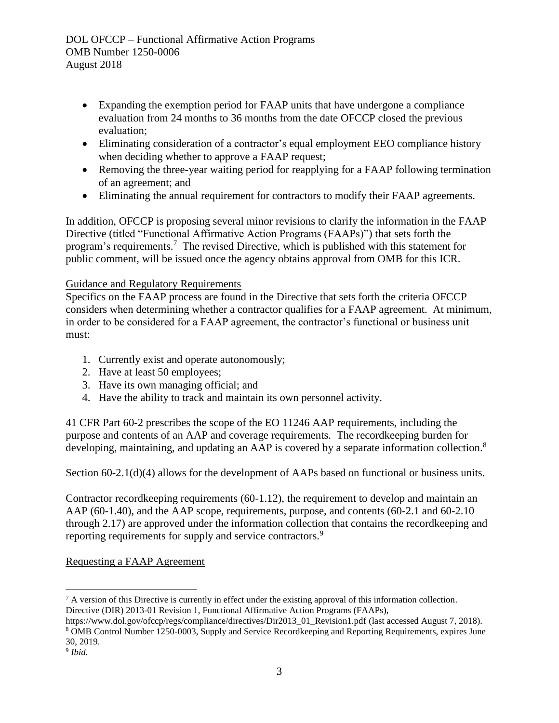- Expanding the exemption period for FAAP units that have undergone a compliance evaluation from 24 months to 36 months from the date OFCCP closed the previous evaluation;
- Eliminating consideration of a contractor's equal employment EEO compliance history when deciding whether to approve a FAAP request:
- Removing the three-year waiting period for reapplying for a FAAP following termination of an agreement; and
- Eliminating the annual requirement for contractors to modify their FAAP agreements.

In addition, OFCCP is proposing several minor revisions to clarify the information in the FAAP Directive (titled "Functional Affirmative Action Programs (FAAPs)") that sets forth the program's requirements.<sup>7</sup> The revised Directive, which is published with this statement for public comment, will be issued once the agency obtains approval from OMB for this ICR.

## Guidance and Regulatory Requirements

Specifics on the FAAP process are found in the Directive that sets forth the criteria OFCCP considers when determining whether a contractor qualifies for a FAAP agreement. At minimum, in order to be considered for a FAAP agreement, the contractor's functional or business unit must:

- 1. Currently exist and operate autonomously;
- 2. Have at least 50 employees;
- 3. Have its own managing official; and
- 4. Have the ability to track and maintain its own personnel activity.

41 CFR Part 60-2 prescribes the scope of the EO 11246 AAP requirements, including the purpose and contents of an AAP and coverage requirements. The recordkeeping burden for developing, maintaining, and updating an AAP is covered by a separate information collection.<sup>8</sup>

Section 60-2.1(d)(4) allows for the development of AAPs based on functional or business units.

Contractor recordkeeping requirements (60-1.12), the requirement to develop and maintain an AAP (60-1.40), and the AAP scope, requirements, purpose, and contents (60-2.1 and 60-2.10 through 2.17) are approved under the information collection that contains the recordkeeping and reporting requirements for supply and service contractors.<sup>9</sup>

## Requesting a FAAP Agreement

 $\overline{a}$ 

<sup>&</sup>lt;sup>7</sup> A version of this Directive is currently in effect under the existing approval of this information collection. Directive (DIR) 2013-01 Revision 1, Functional Affirmative Action Programs (FAAPs),

[https://www.dol.gov/ofccp/regs/compliance/directives/Dir2013\\_01\\_Revision1.pdf](https://www.dol.gov/ofccp/regs/compliance/directives/Dir2013_01_Revision1.pdf) (last accessed August 7, 2018). <sup>8</sup> OMB Control Number 1250-0003, Supply and Service Recordkeeping and Reporting Requirements, expires June 30, 2019.

<sup>9</sup> *Ibid.*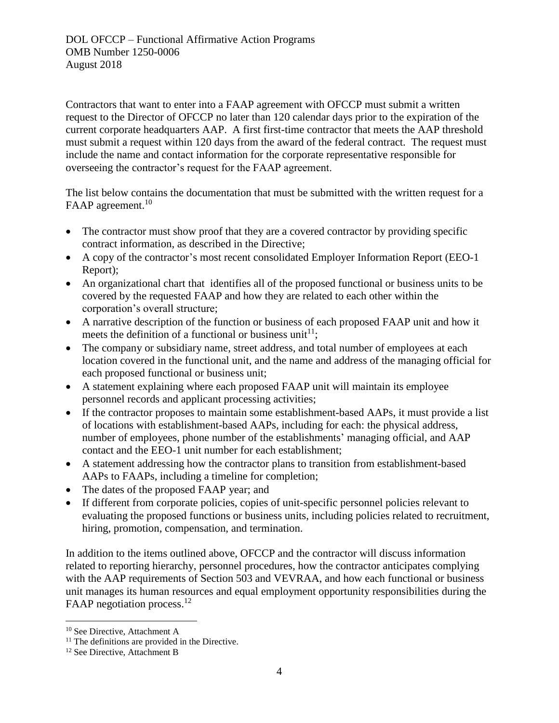Contractors that want to enter into a FAAP agreement with OFCCP must submit a written request to the Director of OFCCP no later than 120 calendar days prior to the expiration of the current corporate headquarters AAP. A first first-time contractor that meets the AAP threshold must submit a request within 120 days from the award of the federal contract. The request must include the name and contact information for the corporate representative responsible for overseeing the contractor's request for the FAAP agreement.

The list below contains the documentation that must be submitted with the written request for a FAAP agreement.<sup>10</sup>

- The contractor must show proof that they are a covered contractor by providing specific contract information, as described in the Directive;
- A copy of the contractor's most recent consolidated Employer Information Report (EEO-1 Report);
- An organizational chart that identifies all of the proposed functional or business units to be covered by the requested FAAP and how they are related to each other within the corporation's overall structure;
- A narrative description of the function or business of each proposed FAAP unit and how it meets the definition of a functional or business unit<sup>11</sup>;
- The company or subsidiary name, street address, and total number of employees at each location covered in the functional unit, and the name and address of the managing official for each proposed functional or business unit;
- A statement explaining where each proposed FAAP unit will maintain its employee personnel records and applicant processing activities;
- If the contractor proposes to maintain some establishment-based AAPs, it must provide a list of locations with establishment-based AAPs, including for each: the physical address, number of employees, phone number of the establishments' managing official, and AAP contact and the EEO-1 unit number for each establishment;
- A statement addressing how the contractor plans to transition from establishment-based AAPs to FAAPs, including a timeline for completion;
- The dates of the proposed FAAP year; and
- If different from corporate policies, copies of unit-specific personnel policies relevant to evaluating the proposed functions or business units, including policies related to recruitment, hiring, promotion, compensation, and termination.

In addition to the items outlined above, OFCCP and the contractor will discuss information related to reporting hierarchy, personnel procedures, how the contractor anticipates complying with the AAP requirements of Section 503 and VEVRAA, and how each functional or business unit manages its human resources and equal employment opportunity responsibilities during the FAAP negotiation process.<sup>12</sup>

 $\overline{a}$ 

<sup>10</sup> See Directive, Attachment A

 $11$  The definitions are provided in the Directive.

<sup>&</sup>lt;sup>12</sup> See Directive, Attachment B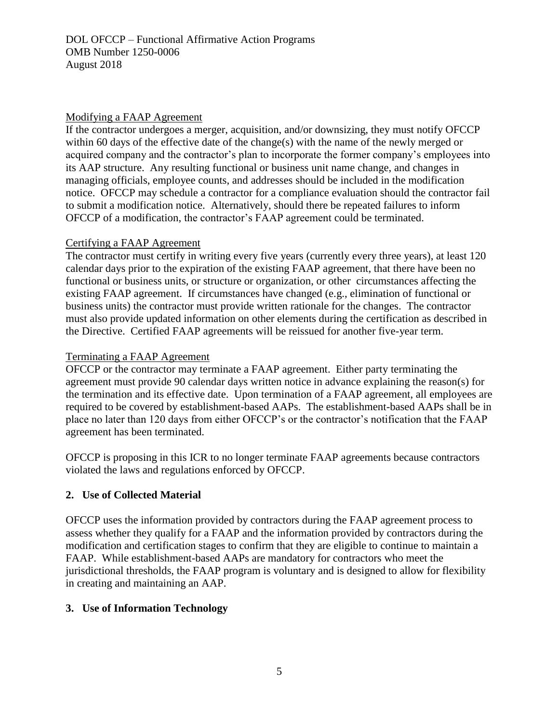### Modifying a FAAP Agreement

If the contractor undergoes a merger, acquisition, and/or downsizing, they must notify OFCCP within 60 days of the effective date of the change(s) with the name of the newly merged or acquired company and the contractor's plan to incorporate the former company's employees into its AAP structure. Any resulting functional or business unit name change, and changes in managing officials, employee counts, and addresses should be included in the modification notice. OFCCP may schedule a contractor for a compliance evaluation should the contractor fail to submit a modification notice. Alternatively, should there be repeated failures to inform OFCCP of a modification, the contractor's FAAP agreement could be terminated.

### Certifying a FAAP Agreement

The contractor must certify in writing every five years (currently every three years), at least 120 calendar days prior to the expiration of the existing FAAP agreement, that there have been no functional or business units, or structure or organization, or other circumstances affecting the existing FAAP agreement. If circumstances have changed (e.g., elimination of functional or business units) the contractor must provide written rationale for the changes. The contractor must also provide updated information on other elements during the certification as described in the Directive. Certified FAAP agreements will be reissued for another five-year term.

### Terminating a FAAP Agreement

OFCCP or the contractor may terminate a FAAP agreement. Either party terminating the agreement must provide 90 calendar days written notice in advance explaining the reason(s) for the termination and its effective date. Upon termination of a FAAP agreement, all employees are required to be covered by establishment-based AAPs. The establishment-based AAPs shall be in place no later than 120 days from either OFCCP's or the contractor's notification that the FAAP agreement has been terminated.

OFCCP is proposing in this ICR to no longer terminate FAAP agreements because contractors violated the laws and regulations enforced by OFCCP.

## **2. Use of Collected Material**

OFCCP uses the information provided by contractors during the FAAP agreement process to assess whether they qualify for a FAAP and the information provided by contractors during the modification and certification stages to confirm that they are eligible to continue to maintain a FAAP. While establishment-based AAPs are mandatory for contractors who meet the jurisdictional thresholds, the FAAP program is voluntary and is designed to allow for flexibility in creating and maintaining an AAP.

## **3. Use of Information Technology**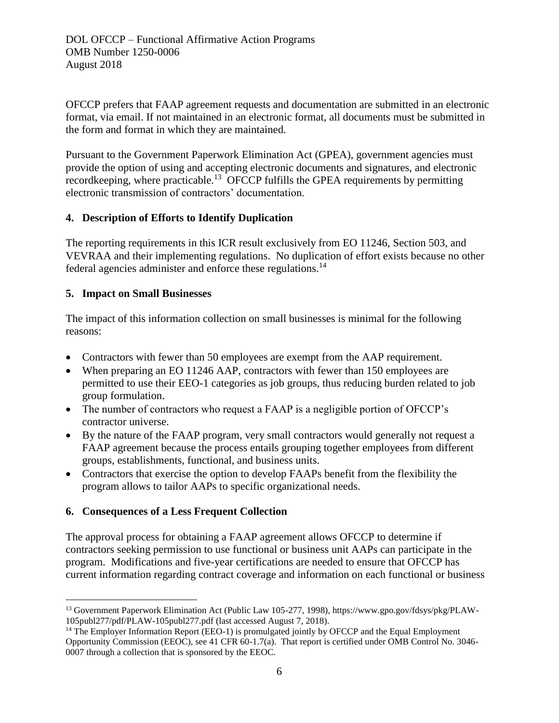DOL OFCCP – Functional Affirmative Action Programs OMB Number 1250-0006 August 2018

OFCCP prefers that FAAP agreement requests and documentation are submitted in an electronic format, via email. If not maintained in an electronic format, all documents must be submitted in the form and format in which they are maintained.

Pursuant to the Government Paperwork Elimination Act (GPEA), government agencies must provide the option of using and accepting electronic documents and signatures, and electronic record keeping, where practicable.<sup>13</sup> OFCCP fulfills the GPEA requirements by permitting electronic transmission of contractors' documentation.

### **4. Description of Efforts to Identify Duplication**

The reporting requirements in this ICR result exclusively from EO 11246, Section 503, and VEVRAA and their implementing regulations. No duplication of effort exists because no other federal agencies administer and enforce these regulations.<sup>14</sup>

## **5. Impact on Small Businesses**

The impact of this information collection on small businesses is minimal for the following reasons:

- Contractors with fewer than 50 employees are exempt from the AAP requirement.
- When preparing an EO 11246 AAP, contractors with fewer than 150 employees are permitted to use their EEO-1 categories as job groups, thus reducing burden related to job group formulation.
- The number of contractors who request a FAAP is a negligible portion of OFCCP's contractor universe.
- By the nature of the FAAP program, very small contractors would generally not request a FAAP agreement because the process entails grouping together employees from different groups, establishments, functional, and business units.
- Contractors that exercise the option to develop FAAPs benefit from the flexibility the program allows to tailor AAPs to specific organizational needs.

## **6. Consequences of a Less Frequent Collection**

The approval process for obtaining a FAAP agreement allows OFCCP to determine if contractors seeking permission to use functional or business unit AAPs can participate in the program. Modifications and five-year certifications are needed to ensure that OFCCP has current information regarding contract coverage and information on each functional or business

 $\overline{a}$ <sup>13</sup> Government Paperwork Elimination Act (Public Law 105-277, 1998), [https://www.gpo.gov/fdsys/pkg/PLAW-](https://www.gpo.gov/fdsys/pkg/PLAW-105publ277/pdf/PLAW-105publ277.pdf)[105publ277/pdf/PLAW-105publ277.pdf](https://www.gpo.gov/fdsys/pkg/PLAW-105publ277/pdf/PLAW-105publ277.pdf) (last accessed August 7, 2018).

<sup>&</sup>lt;sup>14</sup> The Employer Information Report (EEO-1) is promulgated jointly by OFCCP and the Equal Employment Opportunity Commission (EEOC), see 41 CFR 60-1.7(a). That report is certified under OMB Control No. 3046- 0007 through a collection that is sponsored by the EEOC.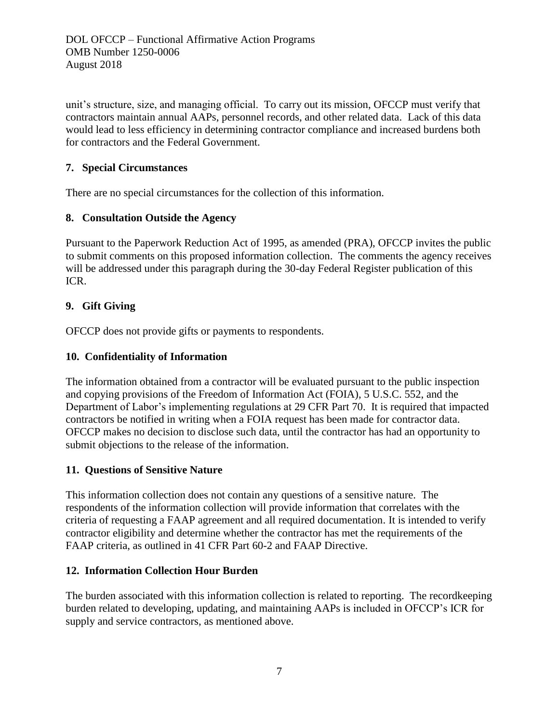DOL OFCCP – Functional Affirmative Action Programs OMB Number 1250-0006 August 2018

unit's structure, size, and managing official. To carry out its mission, OFCCP must verify that contractors maintain annual AAPs, personnel records, and other related data. Lack of this data would lead to less efficiency in determining contractor compliance and increased burdens both for contractors and the Federal Government.

### **7. Special Circumstances**

There are no special circumstances for the collection of this information.

### **8. Consultation Outside the Agency**

Pursuant to the Paperwork Reduction Act of 1995, as amended (PRA), OFCCP invites the public to submit comments on this proposed information collection. The comments the agency receives will be addressed under this paragraph during the 30-day Federal Register publication of this ICR.

## **9. Gift Giving**

OFCCP does not provide gifts or payments to respondents.

### **10. Confidentiality of Information**

The information obtained from a contractor will be evaluated pursuant to the public inspection and copying provisions of the Freedom of Information Act (FOIA), 5 U.S.C. 552, and the Department of Labor's implementing regulations at 29 CFR Part 70. It is required that impacted contractors be notified in writing when a FOIA request has been made for contractor data. OFCCP makes no decision to disclose such data, until the contractor has had an opportunity to submit objections to the release of the information.

### **11. Questions of Sensitive Nature**

This information collection does not contain any questions of a sensitive nature. The respondents of the information collection will provide information that correlates with the criteria of requesting a FAAP agreement and all required documentation. It is intended to verify contractor eligibility and determine whether the contractor has met the requirements of the FAAP criteria, as outlined in 41 CFR Part 60-2 and FAAP Directive.

### **12. Information Collection Hour Burden**

The burden associated with this information collection is related to reporting. The recordkeeping burden related to developing, updating, and maintaining AAPs is included in OFCCP's ICR for supply and service contractors, as mentioned above.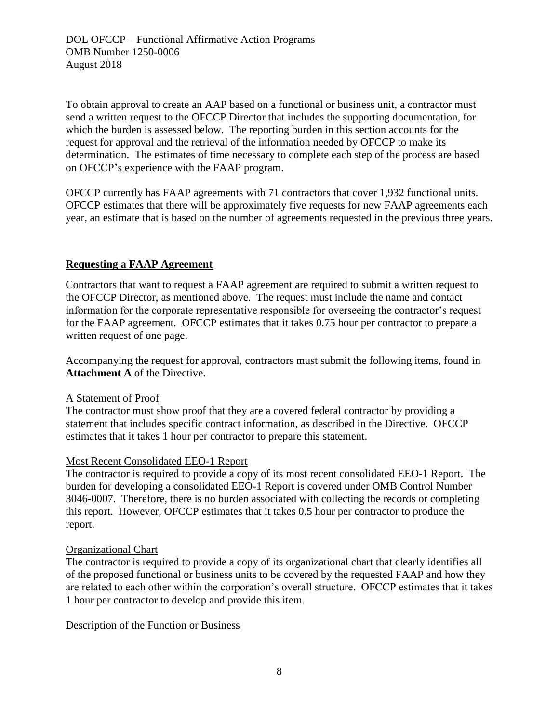To obtain approval to create an AAP based on a functional or business unit, a contractor must send a written request to the OFCCP Director that includes the supporting documentation, for which the burden is assessed below. The reporting burden in this section accounts for the request for approval and the retrieval of the information needed by OFCCP to make its determination. The estimates of time necessary to complete each step of the process are based on OFCCP's experience with the FAAP program.

OFCCP currently has FAAP agreements with 71 contractors that cover 1,932 functional units. OFCCP estimates that there will be approximately five requests for new FAAP agreements each year, an estimate that is based on the number of agreements requested in the previous three years.

## **Requesting a FAAP Agreement**

Contractors that want to request a FAAP agreement are required to submit a written request to the OFCCP Director, as mentioned above. The request must include the name and contact information for the corporate representative responsible for overseeing the contractor's request for the FAAP agreement. OFCCP estimates that it takes 0.75 hour per contractor to prepare a written request of one page.

Accompanying the request for approval, contractors must submit the following items, found in **Attachment A** of the Directive.

## A Statement of Proof

The contractor must show proof that they are a covered federal contractor by providing a statement that includes specific contract information, as described in the Directive. OFCCP estimates that it takes 1 hour per contractor to prepare this statement.

## Most Recent Consolidated EEO-1 Report

The contractor is required to provide a copy of its most recent consolidated EEO-1 Report. The burden for developing a consolidated EEO-1 Report is covered under OMB Control Number 3046-0007. Therefore, there is no burden associated with collecting the records or completing this report. However, OFCCP estimates that it takes 0.5 hour per contractor to produce the report.

## Organizational Chart

The contractor is required to provide a copy of its organizational chart that clearly identifies all of the proposed functional or business units to be covered by the requested FAAP and how they are related to each other within the corporation's overall structure. OFCCP estimates that it takes 1 hour per contractor to develop and provide this item.

## Description of the Function or Business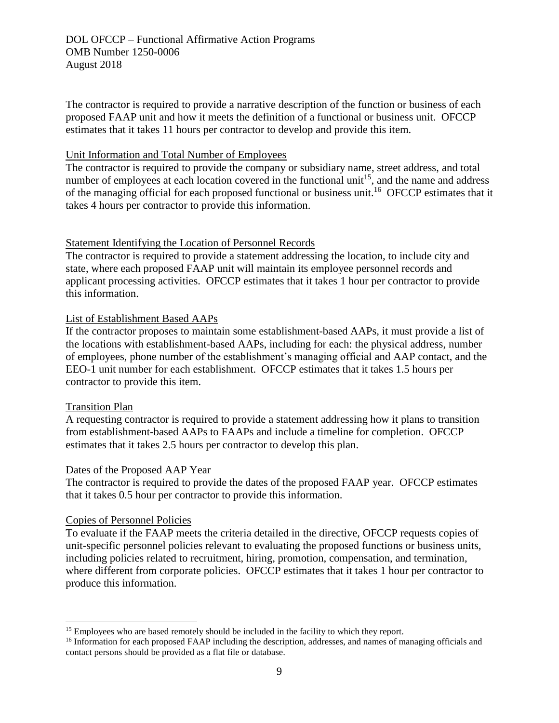The contractor is required to provide a narrative description of the function or business of each proposed FAAP unit and how it meets the definition of a functional or business unit. OFCCP estimates that it takes 11 hours per contractor to develop and provide this item.

### Unit Information and Total Number of Employees

The contractor is required to provide the company or subsidiary name, street address, and total number of employees at each location covered in the functional unit<sup>15</sup>, and the name and address of the managing official for each proposed functional or business unit.<sup>16</sup> OFCCP estimates that it takes 4 hours per contractor to provide this information.

### Statement Identifying the Location of Personnel Records

The contractor is required to provide a statement addressing the location, to include city and state, where each proposed FAAP unit will maintain its employee personnel records and applicant processing activities. OFCCP estimates that it takes 1 hour per contractor to provide this information.

### List of Establishment Based AAPs

If the contractor proposes to maintain some establishment-based AAPs, it must provide a list of the locations with establishment-based AAPs, including for each: the physical address, number of employees, phone number of the establishment's managing official and AAP contact, and the EEO-1 unit number for each establishment. OFCCP estimates that it takes 1.5 hours per contractor to provide this item.

### Transition Plan

 $\overline{a}$ 

A requesting contractor is required to provide a statement addressing how it plans to transition from establishment-based AAPs to FAAPs and include a timeline for completion. OFCCP estimates that it takes 2.5 hours per contractor to develop this plan.

### Dates of the Proposed AAP Year

The contractor is required to provide the dates of the proposed FAAP year. OFCCP estimates that it takes 0.5 hour per contractor to provide this information.

### Copies of Personnel Policies

To evaluate if the FAAP meets the criteria detailed in the directive, OFCCP requests copies of unit-specific personnel policies relevant to evaluating the proposed functions or business units, including policies related to recruitment, hiring, promotion, compensation, and termination, where different from corporate policies. OFCCP estimates that it takes 1 hour per contractor to produce this information.

<sup>&</sup>lt;sup>15</sup> Employees who are based remotely should be included in the facility to which they report.

<sup>&</sup>lt;sup>16</sup> Information for each proposed FAAP including the description, addresses, and names of managing officials and contact persons should be provided as a flat file or database.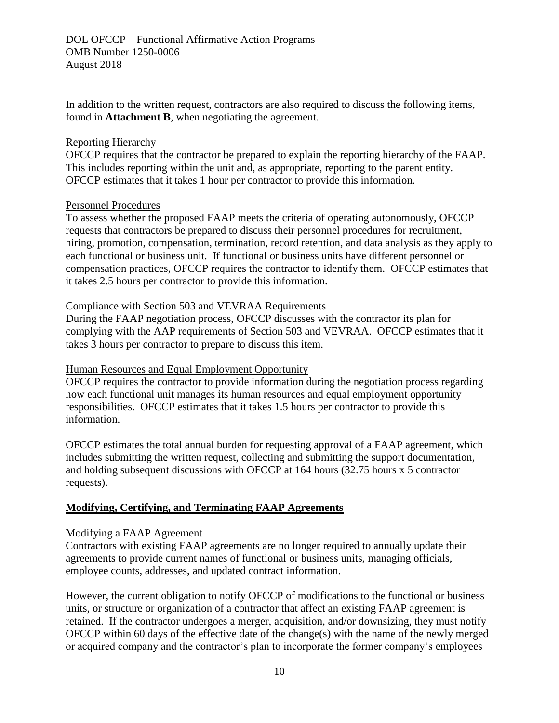In addition to the written request, contractors are also required to discuss the following items, found in **Attachment B**, when negotiating the agreement.

#### Reporting Hierarchy

OFCCP requires that the contractor be prepared to explain the reporting hierarchy of the FAAP. This includes reporting within the unit and, as appropriate, reporting to the parent entity. OFCCP estimates that it takes 1 hour per contractor to provide this information.

#### Personnel Procedures

To assess whether the proposed FAAP meets the criteria of operating autonomously, OFCCP requests that contractors be prepared to discuss their personnel procedures for recruitment, hiring, promotion, compensation, termination, record retention, and data analysis as they apply to each functional or business unit. If functional or business units have different personnel or compensation practices, OFCCP requires the contractor to identify them. OFCCP estimates that it takes 2.5 hours per contractor to provide this information.

### Compliance with Section 503 and VEVRAA Requirements

During the FAAP negotiation process, OFCCP discusses with the contractor its plan for complying with the AAP requirements of Section 503 and VEVRAA. OFCCP estimates that it takes 3 hours per contractor to prepare to discuss this item.

### Human Resources and Equal Employment Opportunity

OFCCP requires the contractor to provide information during the negotiation process regarding how each functional unit manages its human resources and equal employment opportunity responsibilities. OFCCP estimates that it takes 1.5 hours per contractor to provide this information.

OFCCP estimates the total annual burden for requesting approval of a FAAP agreement, which includes submitting the written request, collecting and submitting the support documentation, and holding subsequent discussions with OFCCP at 164 hours (32.75 hours x 5 contractor requests).

### **Modifying, Certifying, and Terminating FAAP Agreements**

### Modifying a FAAP Agreement

Contractors with existing FAAP agreements are no longer required to annually update their agreements to provide current names of functional or business units, managing officials, employee counts, addresses, and updated contract information.

However, the current obligation to notify OFCCP of modifications to the functional or business units, or structure or organization of a contractor that affect an existing FAAP agreement is retained. If the contractor undergoes a merger, acquisition, and/or downsizing, they must notify OFCCP within 60 days of the effective date of the change(s) with the name of the newly merged or acquired company and the contractor's plan to incorporate the former company's employees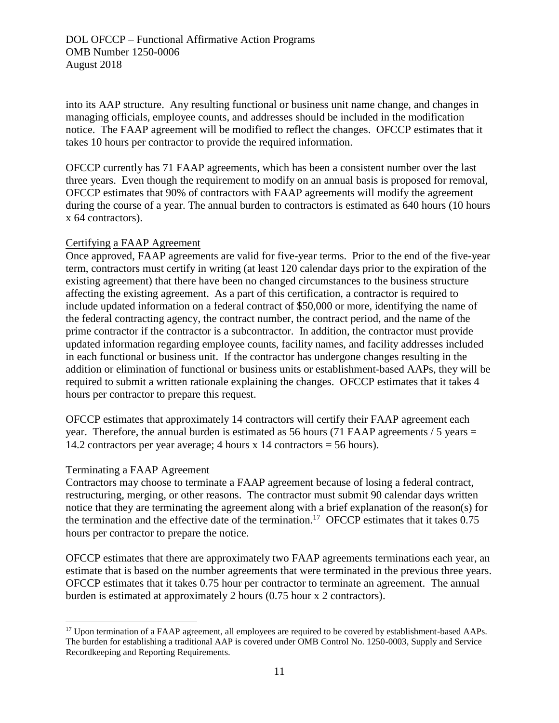into its AAP structure. Any resulting functional or business unit name change, and changes in managing officials, employee counts, and addresses should be included in the modification notice. The FAAP agreement will be modified to reflect the changes. OFCCP estimates that it takes 10 hours per contractor to provide the required information.

OFCCP currently has 71 FAAP agreements, which has been a consistent number over the last three years. Even though the requirement to modify on an annual basis is proposed for removal, OFCCP estimates that 90% of contractors with FAAP agreements will modify the agreement during the course of a year. The annual burden to contractors is estimated as 640 hours (10 hours x 64 contractors).

### Certifying a FAAP Agreement

Once approved, FAAP agreements are valid for five-year terms. Prior to the end of the five-year term, contractors must certify in writing (at least 120 calendar days prior to the expiration of the existing agreement) that there have been no changed circumstances to the business structure affecting the existing agreement. As a part of this certification, a contractor is required to include updated information on a federal contract of \$50,000 or more, identifying the name of the federal contracting agency, the contract number, the contract period, and the name of the prime contractor if the contractor is a subcontractor. In addition, the contractor must provide updated information regarding employee counts, facility names, and facility addresses included in each functional or business unit. If the contractor has undergone changes resulting in the addition or elimination of functional or business units or establishment-based AAPs, they will be required to submit a written rationale explaining the changes. OFCCP estimates that it takes 4 hours per contractor to prepare this request.

OFCCP estimates that approximately 14 contractors will certify their FAAP agreement each year. Therefore, the annual burden is estimated as 56 hours (71 FAAP agreements  $/ 5$  years = 14.2 contractors per year average; 4 hours x 14 contractors = 56 hours).

### Terminating a FAAP Agreement

 $\overline{a}$ 

Contractors may choose to terminate a FAAP agreement because of losing a federal contract, restructuring, merging, or other reasons. The contractor must submit 90 calendar days written notice that they are terminating the agreement along with a brief explanation of the reason(s) for the termination and the effective date of the termination.<sup>17</sup> OFCCP estimates that it takes  $0.75$ hours per contractor to prepare the notice.

OFCCP estimates that there are approximately two FAAP agreements terminations each year, an estimate that is based on the number agreements that were terminated in the previous three years. OFCCP estimates that it takes 0.75 hour per contractor to terminate an agreement. The annual burden is estimated at approximately 2 hours (0.75 hour x 2 contractors).

<sup>&</sup>lt;sup>17</sup> Upon termination of a FAAP agreement, all employees are required to be covered by establishment-based AAPs. The burden for establishing a traditional AAP is covered under OMB Control No. 1250-0003, Supply and Service Recordkeeping and Reporting Requirements.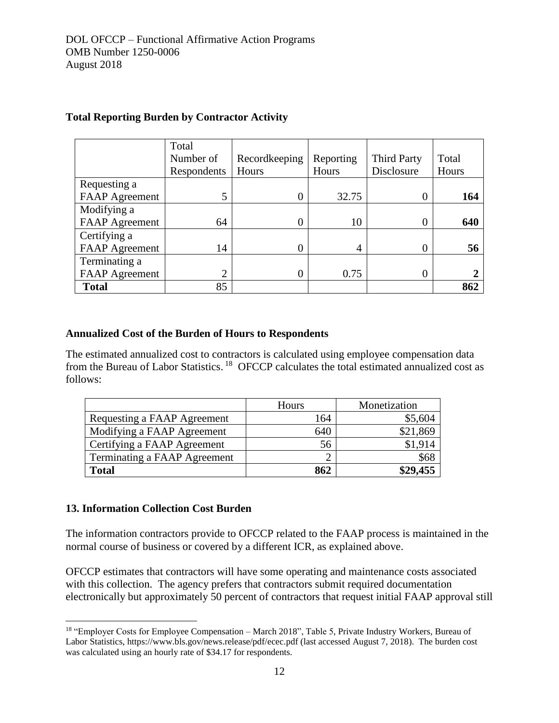|                       | Total       |               |           |                    |       |
|-----------------------|-------------|---------------|-----------|--------------------|-------|
|                       | Number of   | Recordkeeping | Reporting | <b>Third Party</b> | Total |
|                       | Respondents | Hours         | Hours     | Disclosure         | Hours |
| Requesting a          |             |               |           |                    |       |
| FAAP Agreement        | 5           |               | 32.75     | $\theta$           | 164   |
| Modifying a           |             |               |           |                    |       |
| <b>FAAP</b> Agreement | 64          |               | 10        | 0                  | 640   |
| Certifying a          |             |               |           |                    |       |
| <b>FAAP</b> Agreement | 14          |               | 4         | 0                  | 56    |
| Terminating a         |             |               |           |                    |       |
| <b>FAAP</b> Agreement | ◠           |               | 0.75      | 0                  |       |
| <b>Total</b>          | 85          |               |           |                    | 862   |

## **Total Reporting Burden by Contractor Activity**

### **Annualized Cost of the Burden of Hours to Respondents**

The estimated annualized cost to contractors is calculated using employee compensation data from the Bureau of Labor Statistics.<sup>18</sup> OFCCP calculates the total estimated annualized cost as follows:

|                              | Hours | Monetization |
|------------------------------|-------|--------------|
| Requesting a FAAP Agreement  | 164   | \$5,604      |
| Modifying a FAAP Agreement   | 640   | \$21,869     |
| Certifying a FAAP Agreement  | 56    | \$1,914      |
| Terminating a FAAP Agreement |       | \$68         |
| <b>Total</b>                 | 862   | \$29,455     |

### **13. Information Collection Cost Burden**

 $\overline{a}$ 

The information contractors provide to OFCCP related to the FAAP process is maintained in the normal course of business or covered by a different ICR, as explained above.

OFCCP estimates that contractors will have some operating and maintenance costs associated with this collection. The agency prefers that contractors submit required documentation electronically but approximately 50 percent of contractors that request initial FAAP approval still

<sup>18</sup> "Employer Costs for Employee Compensation – March 2018", Table 5, Private Industry Workers, Bureau of Labor Statistics, https://www.bls.gov/news.release/pdf/ecec.pdf (last accessed August 7, 2018). The burden cost was calculated using an hourly rate of \$34.17 for respondents.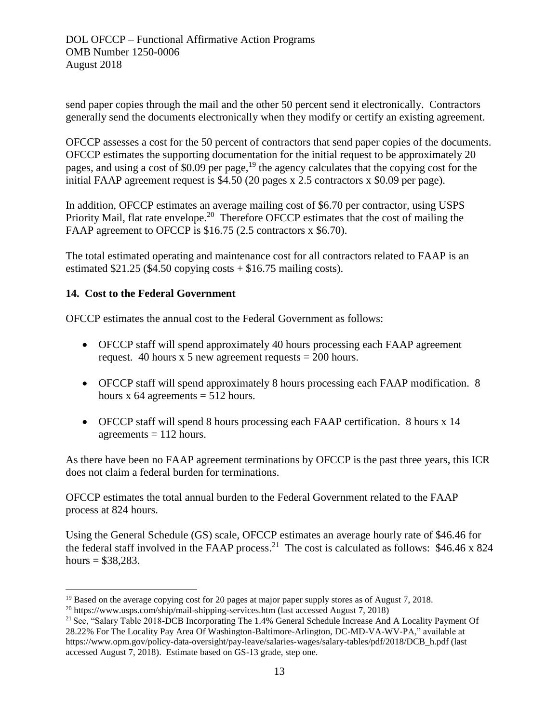send paper copies through the mail and the other 50 percent send it electronically. Contractors generally send the documents electronically when they modify or certify an existing agreement.

OFCCP assesses a cost for the 50 percent of contractors that send paper copies of the documents. OFCCP estimates the supporting documentation for the initial request to be approximately 20 pages, and using a cost of \$0.09 per page,<sup>19</sup> the agency calculates that the copying cost for the initial FAAP agreement request is \$4.50 (20 pages x 2.5 contractors x \$0.09 per page).

In addition, OFCCP estimates an average mailing cost of \$6.70 per contractor, using USPS Priority Mail, flat rate envelope.<sup>20</sup> Therefore OFCCP estimates that the cost of mailing the FAAP agreement to OFCCP is \$16.75 (2.5 contractors x \$6.70).

The total estimated operating and maintenance cost for all contractors related to FAAP is an estimated  $$21.25$  (\$4.50 copying costs  $+ $16.75$  mailing costs).

## **14. Cost to the Federal Government**

 $\overline{a}$ 

OFCCP estimates the annual cost to the Federal Government as follows:

- OFCCP staff will spend approximately 40 hours processing each FAAP agreement request. 40 hours x 5 new agreement requests  $= 200$  hours.
- OFCCP staff will spend approximately 8 hours processing each FAAP modification. 8 hours x  $64$  agreements =  $512$  hours.
- OFCCP staff will spend 8 hours processing each FAAP certification. 8 hours x 14 agreements  $= 112$  hours.

As there have been no FAAP agreement terminations by OFCCP is the past three years, this ICR does not claim a federal burden for terminations.

OFCCP estimates the total annual burden to the Federal Government related to the FAAP process at 824 hours.

Using the General Schedule (GS) scale, OFCCP estimates an average hourly rate of \$46.46 for the federal staff involved in the FAAP process.<sup>21</sup> The cost is calculated as follows:  $$46.46 \times 824$ hours =  $$38,283$ .

<sup>&</sup>lt;sup>19</sup> Based on the average copying cost for 20 pages at major paper supply stores as of August 7, 2018.

<sup>&</sup>lt;sup>20</sup> <https://www.usps.com/ship/mail-shipping-services.htm> (last accessed August 7, 2018)

<sup>&</sup>lt;sup>21</sup> See, "Salary Table 2018-DCB Incorporating The 1.4% General Schedule Increase And A Locality Payment Of 28.22% For The Locality Pay Area Of Washington-Baltimore-Arlington, DC-MD-VA-WV-PA," available at https://www.opm.gov/policy-data-oversight/pay-leave/salaries-wages/salary-tables/pdf/2018/DCB\_h.pdf (last accessed August 7, 2018). Estimate based on GS-13 grade, step one.